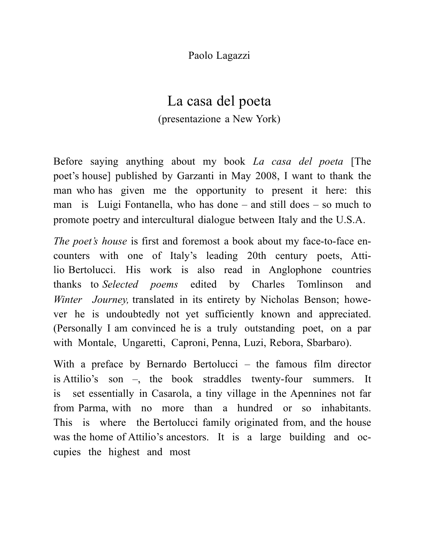Paolo Lagazzi

## La casa del poeta (presentazione a New York)

Before saying anything about my book *La casa del poeta* [The poet's house] published by Garzanti in May 2008, I want to thank the man who has given me the opportunity to present it here: this man is Luigi Fontanella, who has done – and still does – so much to promote poetry and intercultural dialogue between Italy and the U.S.A.

*The poet's house* is first and foremost a book about my face-to-face encounters with one of Italy's leading 20th century poets, Attilio Bertolucci. His work is also read in Anglophone countries thanks to *Selected poems* edited by Charles Tomlinson and *Winter Journey,* translated in its entirety by Nicholas Benson; however he is undoubtedly not yet sufficiently known and appreciated. (Personally I am convinced he is a truly outstanding poet, on a par with Montale, Ungaretti, Caproni, Penna, Luzi, Rebora, Sbarbaro).

With a preface by Bernardo Bertolucci – the famous film director is Attilio's son –, the book straddles twenty-four summers. It is set essentially in Casarola, a tiny village in the Apennines not far from Parma, with no more than a hundred or so inhabitants. This is where the Bertolucci family originated from, and the house was the home of Attilio's ancestors. It is a large building and occupies the highest and most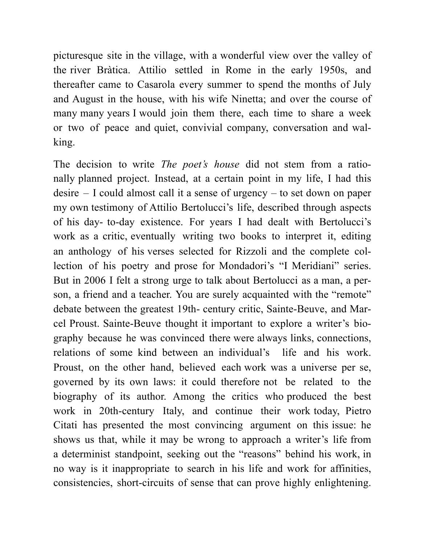picturesque site in the village, with a wonderful view over the valley of the river Bràtica. Attilio settled in Rome in the early 1950s, and thereafter came to Casarola every summer to spend the months of July and August in the house, with his wife Ninetta; and over the course of many many years I would join them there, each time to share a week or two of peace and quiet, convivial company, conversation and walking.

The decision to write *The poet's house* did not stem from a rationally planned project. Instead, at a certain point in my life, I had this desire – I could almost call it a sense of urgency – to set down on paper my own testimony of Attilio Bertolucci's life, described through aspects of his day- to-day existence. For years I had dealt with Bertolucci's work as a critic, eventually writing two books to interpret it, editing an anthology of his verses selected for Rizzoli and the complete collection of his poetry and prose for Mondadori's "I Meridiani" series. But in 2006 I felt a strong urge to talk about Bertolucci as a man, a person, a friend and a teacher. You are surely acquainted with the "remote" debate between the greatest 19th- century critic, Sainte-Beuve, and Marcel Proust. Sainte-Beuve thought it important to explore a writer's biography because he was convinced there were always links, connections, relations of some kind between an individual's life and his work. Proust, on the other hand, believed each work was a universe per se, governed by its own laws: it could therefore not be related to the biography of its author. Among the critics who produced the best work in 20th-century Italy, and continue their work today, Pietro Citati has presented the most convincing argument on this issue: he shows us that, while it may be wrong to approach a writer's life from a determinist standpoint, seeking out the "reasons" behind his work, in no way is it inappropriate to search in his life and work for affinities, consistencies, short-circuits of sense that can prove highly enlightening.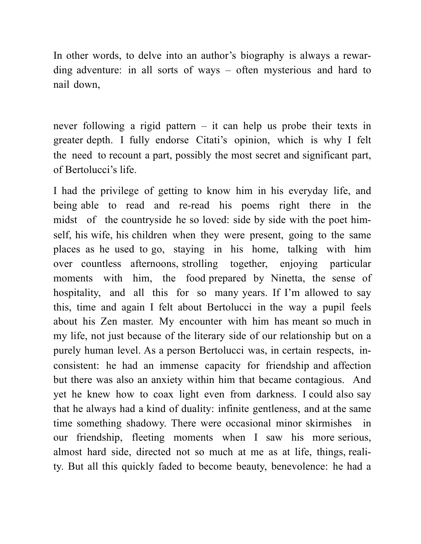In other words, to delve into an author's biography is always a rewarding adventure: in all sorts of ways – often mysterious and hard to nail down,

never following a rigid pattern – it can help us probe their texts in greater depth. I fully endorse Citati's opinion, which is why I felt the need to recount a part, possibly the most secret and significant part, of Bertolucci's life.

I had the privilege of getting to know him in his everyday life, and being able to read and re-read his poems right there in the midst of the countryside he so loved: side by side with the poet himself, his wife, his children when they were present, going to the same places as he used to go, staying in his home, talking with him over countless afternoons, strolling together, enjoying particular moments with him, the food prepared by Ninetta, the sense of hospitality, and all this for so many years. If I'm allowed to say this, time and again I felt about Bertolucci in the way a pupil feels about his Zen master. My encounter with him has meant so much in my life, not just because of the literary side of our relationship but on a purely human level. As a person Bertolucci was, in certain respects, inconsistent: he had an immense capacity for friendship and affection but there was also an anxiety within him that became contagious. And yet he knew how to coax light even from darkness. I could also say that he always had a kind of duality: infinite gentleness, and at the same time something shadowy. There were occasional minor skirmishes in our friendship, fleeting moments when I saw his more serious, almost hard side, directed not so much at me as at life, things, reality. But all this quickly faded to become beauty, benevolence: he had a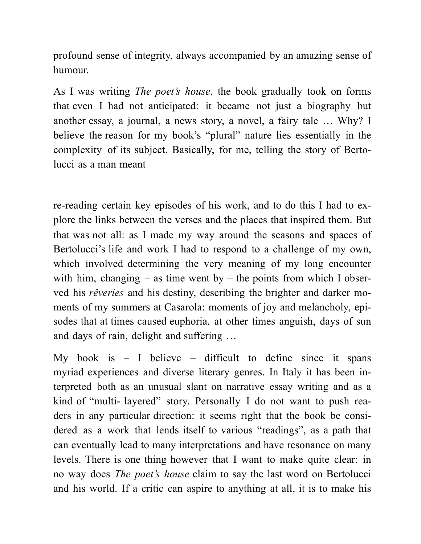profound sense of integrity, always accompanied by an amazing sense of humour.

As I was writing *The poet's house*, the book gradually took on forms that even I had not anticipated: it became not just a biography but another essay, a journal, a news story, a novel, a fairy tale … Why? I believe the reason for my book's "plural" nature lies essentially in the complexity of its subject. Basically, for me, telling the story of Bertolucci as a man meant

re-reading certain key episodes of his work, and to do this I had to explore the links between the verses and the places that inspired them. But that was not all: as I made my way around the seasons and spaces of Bertolucci's life and work I had to respond to a challenge of my own, which involved determining the very meaning of my long encounter with him, changing – as time went by – the points from which I observed his *rêveries* and his destiny, describing the brighter and darker moments of my summers at Casarola: moments of joy and melancholy, episodes that at times caused euphoria, at other times anguish, days of sun and days of rain, delight and suffering …

My book is  $-$  I believe  $-$  difficult to define since it spans myriad experiences and diverse literary genres. In Italy it has been interpreted both as an unusual slant on narrative essay writing and as a kind of "multi- layered" story. Personally I do not want to push readers in any particular direction: it seems right that the book be considered as a work that lends itself to various "readings", as a path that can eventually lead to many interpretations and have resonance on many levels. There is one thing however that I want to make quite clear: in no way does *The poet's house* claim to say the last word on Bertolucci and his world. If a critic can aspire to anything at all, it is to make his